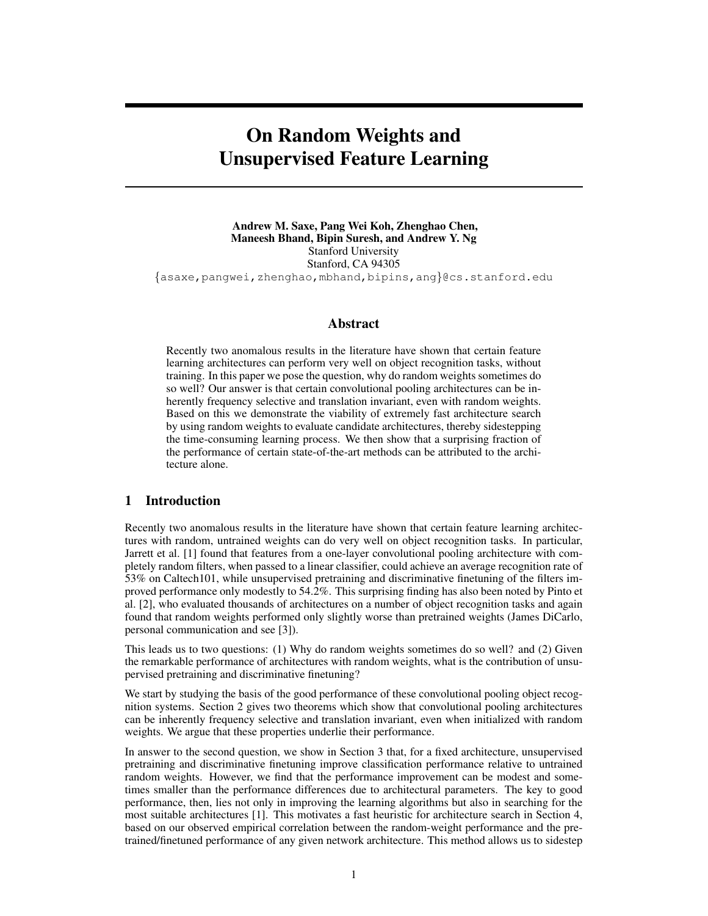# On Random Weights and Unsupervised Feature Learning

Andrew M. Saxe, Pang Wei Koh, Zhenghao Chen, Maneesh Bhand, Bipin Suresh, and Andrew Y. Ng Stanford University Stanford, CA 94305 {asaxe,pangwei,zhenghao,mbhand,bipins,ang}@cs.stanford.edu

## Abstract

Recently two anomalous results in the literature have shown that certain feature learning architectures can perform very well on object recognition tasks, without training. In this paper we pose the question, why do random weights sometimes do so well? Our answer is that certain convolutional pooling architectures can be inherently frequency selective and translation invariant, even with random weights. Based on this we demonstrate the viability of extremely fast architecture search by using random weights to evaluate candidate architectures, thereby sidestepping the time-consuming learning process. We then show that a surprising fraction of the performance of certain state-of-the-art methods can be attributed to the architecture alone.

#### 1 Introduction

Recently two anomalous results in the literature have shown that certain feature learning architectures with random, untrained weights can do very well on object recognition tasks. In particular, Jarrett et al. [1] found that features from a one-layer convolutional pooling architecture with completely random filters, when passed to a linear classifier, could achieve an average recognition rate of 53% on Caltech101, while unsupervised pretraining and discriminative finetuning of the filters improved performance only modestly to 54.2%. This surprising finding has also been noted by Pinto et al. [2], who evaluated thousands of architectures on a number of object recognition tasks and again found that random weights performed only slightly worse than pretrained weights (James DiCarlo, personal communication and see [3]).

This leads us to two questions: (1) Why do random weights sometimes do so well? and (2) Given the remarkable performance of architectures with random weights, what is the contribution of unsupervised pretraining and discriminative finetuning?

We start by studying the basis of the good performance of these convolutional pooling object recognition systems. Section 2 gives two theorems which show that convolutional pooling architectures can be inherently frequency selective and translation invariant, even when initialized with random weights. We argue that these properties underlie their performance.

In answer to the second question, we show in Section 3 that, for a fixed architecture, unsupervised pretraining and discriminative finetuning improve classification performance relative to untrained random weights. However, we find that the performance improvement can be modest and sometimes smaller than the performance differences due to architectural parameters. The key to good performance, then, lies not only in improving the learning algorithms but also in searching for the most suitable architectures [1]. This motivates a fast heuristic for architecture search in Section 4, based on our observed empirical correlation between the random-weight performance and the pretrained/finetuned performance of any given network architecture. This method allows us to sidestep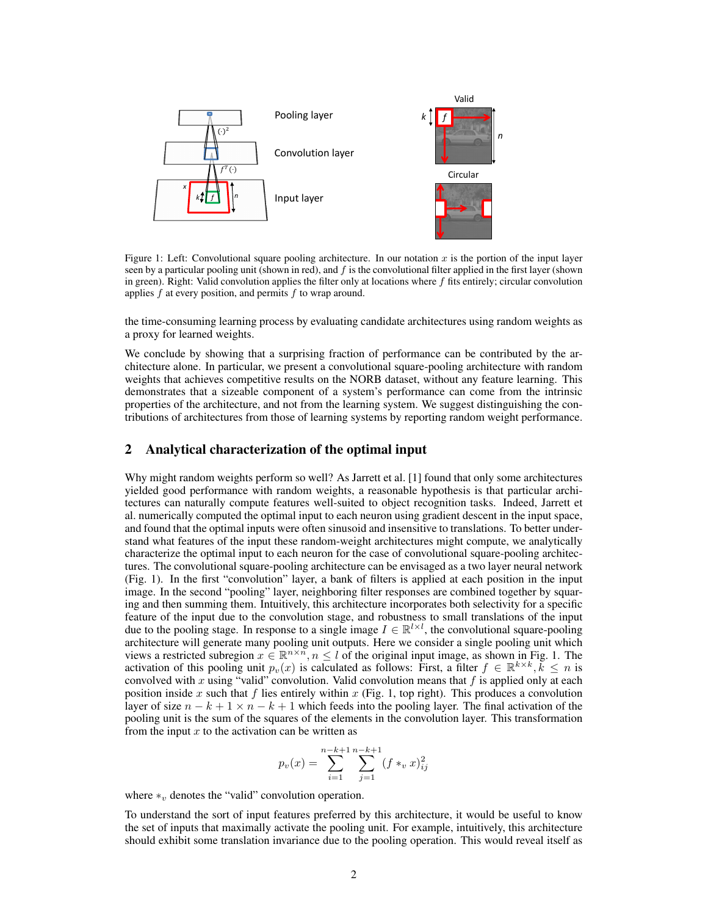

Figure 1: Left: Convolutional square pooling architecture. In our notation  $x$  is the portion of the input layer seen by a particular pooling unit (shown in red), and  $f$  is the convolutional filter applied in the first layer (shown in green). Right: Valid convolution applies the filter only at locations where  $f$  fits entirely; circular convolution applies  $f$  at every position, and permits  $f$  to wrap around.

the time-consuming learning process by evaluating candidate architectures using random weights as a proxy for learned weights.

We conclude by showing that a surprising fraction of performance can be contributed by the architecture alone. In particular, we present a convolutional square-pooling architecture with random weights that achieves competitive results on the NORB dataset, without any feature learning. This demonstrates that a sizeable component of a system's performance can come from the intrinsic properties of the architecture, and not from the learning system. We suggest distinguishing the contributions of architectures from those of learning systems by reporting random weight performance.

#### 2 Analytical characterization of the optimal input

Why might random weights perform so well? As Jarrett et al. [1] found that only some architectures yielded good performance with random weights, a reasonable hypothesis is that particular architectures can naturally compute features well-suited to object recognition tasks. Indeed, Jarrett et al. numerically computed the optimal input to each neuron using gradient descent in the input space, and found that the optimal inputs were often sinusoid and insensitive to translations. To better understand what features of the input these random-weight architectures might compute, we analytically characterize the optimal input to each neuron for the case of convolutional square-pooling architectures. The convolutional square-pooling architecture can be envisaged as a two layer neural network (Fig. 1). In the first "convolution" layer, a bank of filters is applied at each position in the input image. In the second "pooling" layer, neighboring filter responses are combined together by squaring and then summing them. Intuitively, this architecture incorporates both selectivity for a specific feature of the input due to the convolution stage, and robustness to small translations of the input due to the pooling stage. In response to a single image  $I \in \mathbb{R}^{l \times l}$ , the convolutional square-pooling architecture will generate many pooling unit outputs. Here we consider a single pooling unit which views a restricted subregion  $x \in \mathbb{R}^{n \times n}$ ,  $n \leq l$  of the original input image, as shown in Fig. 1. The activation of this pooling unit  $p_v(x)$  is calculated as follows: First, a filter  $f \in \mathbb{R}^{k \times k}, \tilde{k} \le n$  is convolved with x using "valid" convolution. Valid convolution means that  $f$  is applied only at each position inside x such that f lies entirely within x (Fig. 1, top right). This produces a convolution layer of size  $n - k + 1 \times n - k + 1$  which feeds into the pooling layer. The final activation of the pooling unit is the sum of the squares of the elements in the convolution layer. This transformation from the input  $x$  to the activation can be written as

$$
p_v(x) = \sum_{i=1}^{n-k+1} \sum_{j=1}^{n-k+1} (f *_vx)_{ij}^2
$$

where  $*_v$  denotes the "valid" convolution operation.

To understand the sort of input features preferred by this architecture, it would be useful to know the set of inputs that maximally activate the pooling unit. For example, intuitively, this architecture should exhibit some translation invariance due to the pooling operation. This would reveal itself as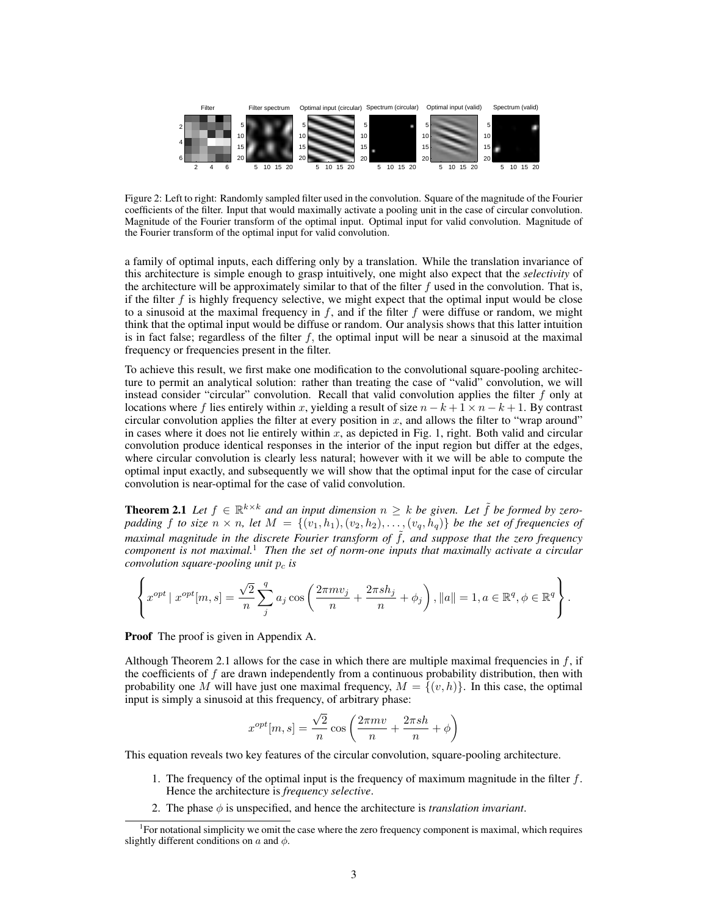

Figure 2: Left to right: Randomly sampled filter used in the convolution. Square of the magnitude of the Fourier coefficients of the filter. Input that would maximally activate a pooling unit in the case of circular convolution. Magnitude of the Fourier transform of the optimal input. Optimal input for valid convolution. Magnitude of the Fourier transform of the optimal input for valid convolution.

a family of optimal inputs, each differing only by a translation. While the translation invariance of this architecture is simple enough to grasp intuitively, one might also expect that the *selectivity* of the architecture will be approximately similar to that of the filter  $f$  used in the convolution. That is, if the filter f is highly frequency selective, we might expect that the optimal input would be close to a sinusoid at the maximal frequency in  $f$ , and if the filter  $f$  were diffuse or random, we might think that the optimal input would be diffuse or random. Our analysis shows that this latter intuition is in fact false; regardless of the filter  $f$ , the optimal input will be near a sinusoid at the maximal frequency or frequencies present in the filter.

To achieve this result, we first make one modification to the convolutional square-pooling architecture to permit an analytical solution: rather than treating the case of "valid" convolution, we will instead consider "circular" convolution. Recall that valid convolution applies the filter  $f$  only at locations where f lies entirely within x, yielding a result of size  $n - k + 1 \times n - k + 1$ . By contrast circular convolution applies the filter at every position in  $x$ , and allows the filter to "wrap around" in cases where it does not lie entirely within  $x$ , as depicted in Fig. 1, right. Both valid and circular convolution produce identical responses in the interior of the input region but differ at the edges, where circular convolution is clearly less natural; however with it we will be able to compute the optimal input exactly, and subsequently we will show that the optimal input for the case of circular convolution is near-optimal for the case of valid convolution.

**Theorem 2.1** Let  $f \in \mathbb{R}^{k \times k}$  and an input dimension  $n \geq k$  be given. Let  $\tilde{f}$  be formed by zeropadding f to size  $n \times n$ , let  $M = \{(\nu_1, h_1), (\nu_2, h_2), \ldots, (\nu_q, h_q)\}$  be the set of frequencies of *maximal magnitude in the discrete Fourier transform of*  $\tilde{f}$ *, and suppose that the zero frequency component is not maximal.*<sup>1</sup> *Then the set of norm-one inputs that maximally activate a circular convolution square-pooling unit*  $p_c$  *is* 

$$
\left\{ x^{opt} \mid x^{opt}[m, s] = \frac{\sqrt{2}}{n} \sum_{j}^{q} a_j \cos \left( \frac{2\pi m v_j}{n} + \frac{2\pi s h_j}{n} + \phi_j \right), ||a|| = 1, a \in \mathbb{R}^q, \phi \in \mathbb{R}^q \right\}.
$$

Proof The proof is given in Appendix A.

Although Theorem 2.1 allows for the case in which there are multiple maximal frequencies in  $f$ , if the coefficients of  $f$  are drawn independently from a continuous probability distribution, then with probability one M will have just one maximal frequency,  $M = \{(v, h)\}\$ . In this case, the optimal input is simply a sinusoid at this frequency, of arbitrary phase:

$$
x^{opt}[m, s] = \frac{\sqrt{2}}{n} \cos\left(\frac{2\pi mv}{n} + \frac{2\pi sh}{n} + \phi\right)
$$

This equation reveals two key features of the circular convolution, square-pooling architecture.

- 1. The frequency of the optimal input is the frequency of maximum magnitude in the filter  $f$ . Hence the architecture is *frequency selective*.
- 2. The phase  $\phi$  is unspecified, and hence the architecture is *translation invariant*.

<sup>&</sup>lt;sup>1</sup>For notational simplicity we omit the case where the zero frequency component is maximal, which requires slightly different conditions on  $a$  and  $\phi$ .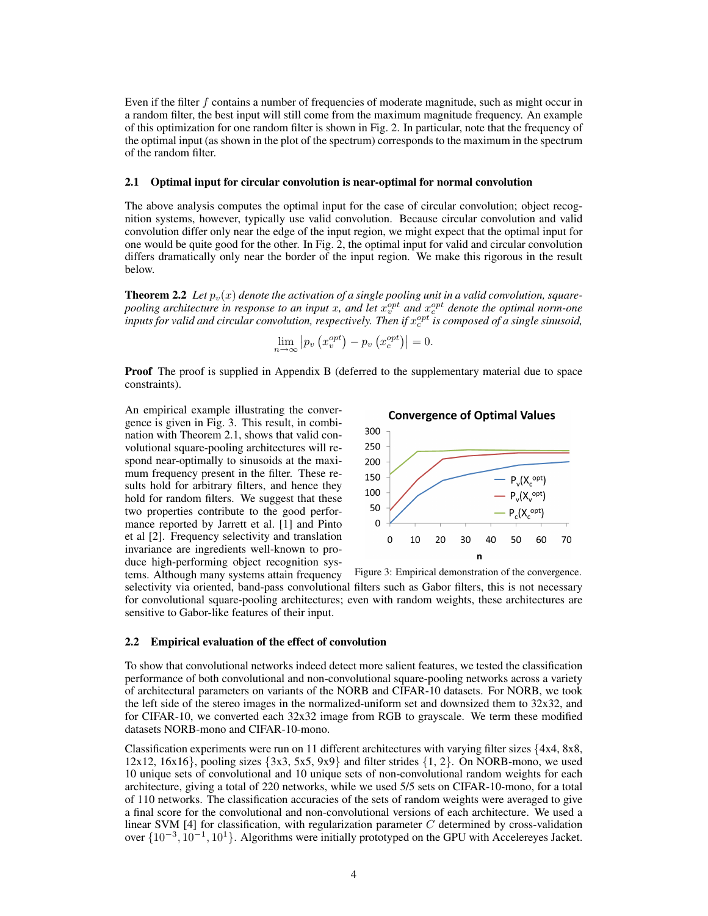Even if the filter  $f$  contains a number of frequencies of moderate magnitude, such as might occur in a random filter, the best input will still come from the maximum magnitude frequency. An example of this optimization for one random filter is shown in Fig. 2. In particular, note that the frequency of the optimal input (as shown in the plot of the spectrum) corresponds to the maximum in the spectrum of the random filter.

#### 2.1 Optimal input for circular convolution is near-optimal for normal convolution

The above analysis computes the optimal input for the case of circular convolution; object recognition systems, however, typically use valid convolution. Because circular convolution and valid convolution differ only near the edge of the input region, we might expect that the optimal input for one would be quite good for the other. In Fig. 2, the optimal input for valid and circular convolution differs dramatically only near the border of the input region. We make this rigorous in the result below.

**Theorem 2.2** Let  $p_v(x)$  denote the activation of a single pooling unit in a valid convolution, squarepooling architecture in response to an input x, and let  $x_v^{opt}$  and  $x_c^{opt}$  denote the optimal norm-one  $\rho$ inputs for valid and circular convolution, respectively. Then if  $x_c^{opt}$  is composed of a single sinusoid,

$$
\lim_{n \to \infty} \left| p_v \left( x_v^{opt} \right) - p_v \left( x_c^{opt} \right) \right| = 0.
$$

Proof The proof is supplied in Appendix B (deferred to the supplementary material due to space constraints).

An empirical example illustrating the convergence is given in Fig. 3. This result, in combination with Theorem 2.1, shows that valid convolutional square-pooling architectures will respond near-optimally to sinusoids at the maximum frequency present in the filter. These results hold for arbitrary filters, and hence they hold for random filters. We suggest that these two properties contribute to the good performance reported by Jarrett et al. [1] and Pinto et al [2]. Frequency selectivity and translation invariance are ingredients well-known to produce high-performing object recognition systems. Although many systems attain frequency





Figure 3: Empirical demonstration of the convergence. selectivity via oriented, band-pass convolutional filters such as Gabor filters, this is not necessary for convolutional square-pooling architectures; even with random weights, these architectures are sensitive to Gabor-like features of their input.

#### 2.2 Empirical evaluation of the effect of convolution

To show that convolutional networks indeed detect more salient features, we tested the classification performance of both convolutional and non-convolutional square-pooling networks across a variety of architectural parameters on variants of the NORB and CIFAR-10 datasets. For NORB, we took the left side of the stereo images in the normalized-uniform set and downsized them to 32x32, and for CIFAR-10, we converted each 32x32 image from RGB to grayscale. We term these modified datasets NORB-mono and CIFAR-10-mono.

Classification experiments were run on 11 different architectures with varying filter sizes {4x4, 8x8, 12x12, 16x16}, pooling sizes  $\{3x3, 5x5, 9x9\}$  and filter strides  $\{1, 2\}$ . On NORB-mono, we used 10 unique sets of convolutional and 10 unique sets of non-convolutional random weights for each architecture, giving a total of 220 networks, while we used 5/5 sets on CIFAR-10-mono, for a total of 110 networks. The classification accuracies of the sets of random weights were averaged to give a final score for the convolutional and non-convolutional versions of each architecture. We used a linear SVM  $[4]$  for classification, with regularization parameter C determined by cross-validation over  $\{10^{-3}, 10^{-1}, 10^{1}\}$ . Algorithms were initially prototyped on the GPU with Accelereyes Jacket.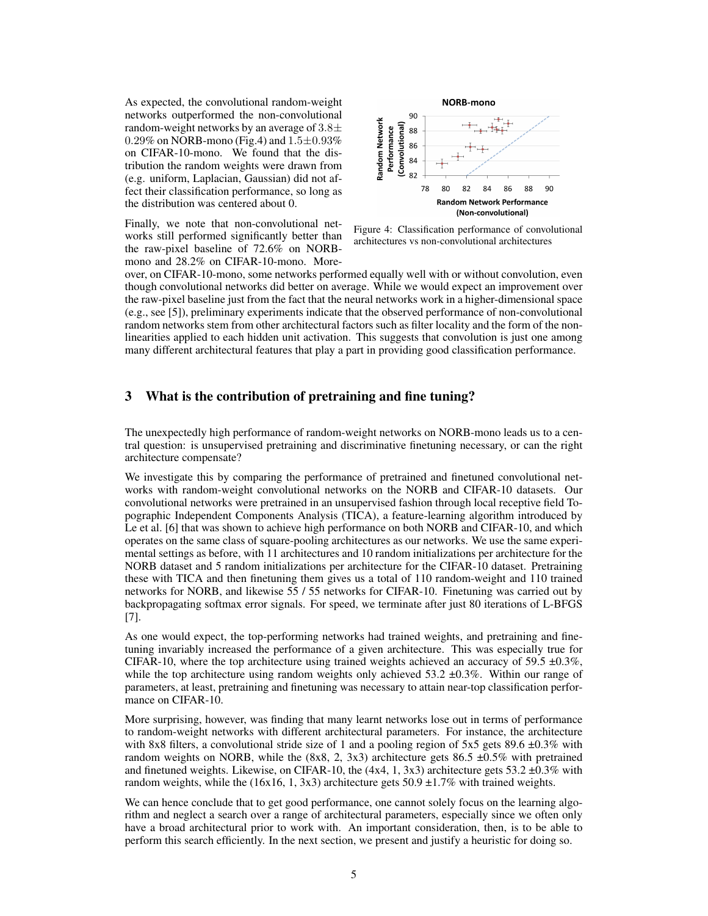As expected, the convolutional random-weight networks outperformed the non-convolutional random-weight networks by an average of  $3.8\pm$ 0.29% on NORB-mono (Fig.4) and  $1.5 \pm 0.93$ % on CIFAR-10-mono. We found that the distribution the random weights were drawn from (e.g. uniform, Laplacian, Gaussian) did not affect their classification performance, so long as the distribution was centered about 0.

Finally, we note that non-convolutional networks still performed significantly better than the raw-pixel baseline of 72.6% on NORBmono and 28.2% on CIFAR-10-mono. More-



Figure 4: Classification performance of convolutional architectures vs non-convolutional architectures

over, on CIFAR-10-mono, some networks performed equally well with or without convolution, even though convolutional networks did better on average. While we would expect an improvement over the raw-pixel baseline just from the fact that the neural networks work in a higher-dimensional space (e.g., see [5]), preliminary experiments indicate that the observed performance of non-convolutional random networks stem from other architectural factors such as filter locality and the form of the nonlinearities applied to each hidden unit activation. This suggests that convolution is just one among many different architectural features that play a part in providing good classification performance.

### 3 What is the contribution of pretraining and fine tuning?

The unexpectedly high performance of random-weight networks on NORB-mono leads us to a central question: is unsupervised pretraining and discriminative finetuning necessary, or can the right architecture compensate?

We investigate this by comparing the performance of pretrained and finetuned convolutional networks with random-weight convolutional networks on the NORB and CIFAR-10 datasets. Our convolutional networks were pretrained in an unsupervised fashion through local receptive field Topographic Independent Components Analysis (TICA), a feature-learning algorithm introduced by Le et al. [6] that was shown to achieve high performance on both NORB and CIFAR-10, and which operates on the same class of square-pooling architectures as our networks. We use the same experimental settings as before, with 11 architectures and 10 random initializations per architecture for the NORB dataset and 5 random initializations per architecture for the CIFAR-10 dataset. Pretraining these with TICA and then finetuning them gives us a total of 110 random-weight and 110 trained networks for NORB, and likewise 55 / 55 networks for CIFAR-10. Finetuning was carried out by backpropagating softmax error signals. For speed, we terminate after just 80 iterations of L-BFGS [7].

As one would expect, the top-performing networks had trained weights, and pretraining and finetuning invariably increased the performance of a given architecture. This was especially true for CIFAR-10, where the top architecture using trained weights achieved an accuracy of 59.5  $\pm$ 0.3%, while the top architecture using random weights only achieved 53.2  $\pm$ 0.3%. Within our range of parameters, at least, pretraining and finetuning was necessary to attain near-top classification performance on CIFAR-10.

More surprising, however, was finding that many learnt networks lose out in terms of performance to random-weight networks with different architectural parameters. For instance, the architecture with 8x8 filters, a convolutional stride size of 1 and a pooling region of  $5x5$  gets 89.6  $\pm 0.3\%$  with random weights on NORB, while the  $(8x8, 2, 3x3)$  architecture gets 86.5  $\pm 0.5\%$  with pretrained and finetuned weights. Likewise, on CIFAR-10, the  $(4x4, 1, 3x3)$  architecture gets 53.2  $\pm 0.3\%$  with random weights, while the (16x16, 1, 3x3) architecture gets  $50.9 \pm 1.7\%$  with trained weights.

We can hence conclude that to get good performance, one cannot solely focus on the learning algorithm and neglect a search over a range of architectural parameters, especially since we often only have a broad architectural prior to work with. An important consideration, then, is to be able to perform this search efficiently. In the next section, we present and justify a heuristic for doing so.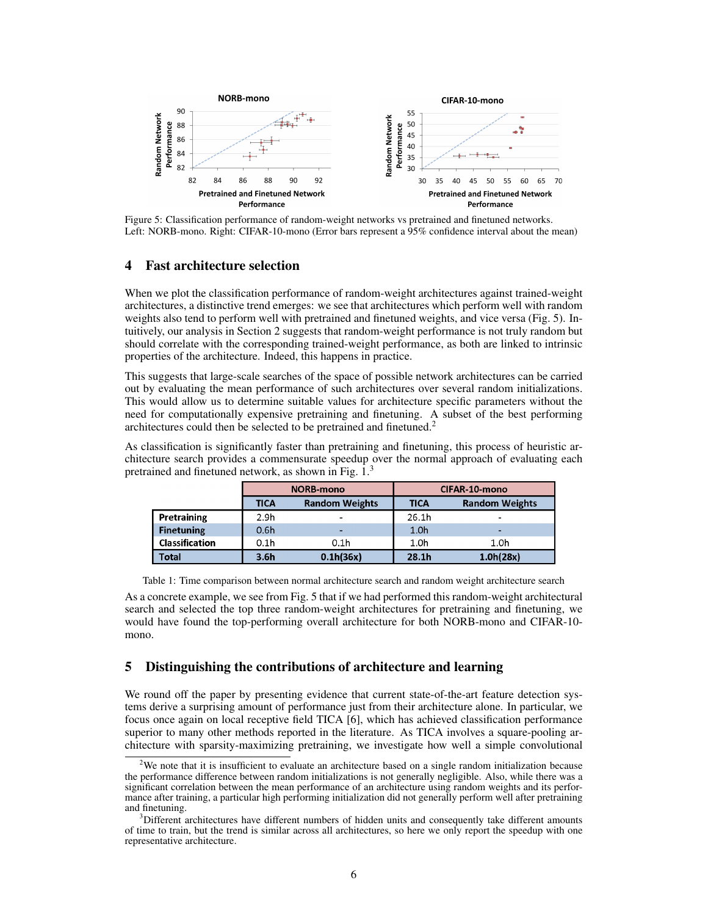

Figure 5: Classification performance of random-weight networks vs pretrained and finetuned networks. Left: NORB-mono. Right: CIFAR-10-mono (Error bars represent a 95% confidence interval about the mean)

### 4 Fast architecture selection

When we plot the classification performance of random-weight architectures against trained-weight architectures, a distinctive trend emerges: we see that architectures which perform well with random weights also tend to perform well with pretrained and finetuned weights, and vice versa (Fig. 5). Intuitively, our analysis in Section 2 suggests that random-weight performance is not truly random but should correlate with the corresponding trained-weight performance, as both are linked to intrinsic properties of the architecture. Indeed, this happens in practice.

This suggests that large-scale searches of the space of possible network architectures can be carried out by evaluating the mean performance of such architectures over several random initializations. This would allow us to determine suitable values for architecture specific parameters without the need for computationally expensive pretraining and finetuning. A subset of the best performing architectures could then be selected to be pretrained and finetuned.<sup>2</sup>

As classification is significantly faster than pretraining and finetuning, this process of heuristic architecture search provides a commensurate speedup over the normal approach of evaluating each pretrained and finetuned network, as shown in Fig. 1.<sup>3</sup>

|                       | <b>NORB-mono</b> |                       | CIFAR-10-mono     |                          |
|-----------------------|------------------|-----------------------|-------------------|--------------------------|
|                       | <b>TICA</b>      | <b>Random Weights</b> | <b>TICA</b>       | <b>Random Weights</b>    |
| Pretraining           | 2.9 <sub>h</sub> |                       | 26.1h             | $\overline{\phantom{0}}$ |
| <b>Finetuning</b>     | 0.6 <sub>h</sub> |                       | 1.0 <sub>h</sub>  | ٠                        |
| <b>Classification</b> | 0.1 <sub>h</sub> | 0.1 <sub>h</sub>      | 1.0 <sub>h</sub>  | 1.0 <sub>h</sub>         |
| <b>Total</b>          | 3.6 <sub>h</sub> | 0.1h(36x)             | 28.1 <sub>h</sub> | 1.0h(28x)                |

Table 1: Time comparison between normal architecture search and random weight architecture search

As a concrete example, we see from Fig. 5 that if we had performed this random-weight architectural search and selected the top three random-weight architectures for pretraining and finetuning, we would have found the top-performing overall architecture for both NORB-mono and CIFAR-10 mono.

# 5 Distinguishing the contributions of architecture and learning

We round off the paper by presenting evidence that current state-of-the-art feature detection systems derive a surprising amount of performance just from their architecture alone. In particular, we focus once again on local receptive field TICA [6], which has achieved classification performance superior to many other methods reported in the literature. As TICA involves a square-pooling architecture with sparsity-maximizing pretraining, we investigate how well a simple convolutional

<sup>&</sup>lt;sup>2</sup>We note that it is insufficient to evaluate an architecture based on a single random initialization because the performance difference between random initializations is not generally negligible. Also, while there was a significant correlation between the mean performance of an architecture using random weights and its performance after training, a particular high performing initialization did not generally perform well after pretraining and finetuning.

<sup>&</sup>lt;sup>3</sup>Different architectures have different numbers of hidden units and consequently take different amounts of time to train, but the trend is similar across all architectures, so here we only report the speedup with one representative architecture.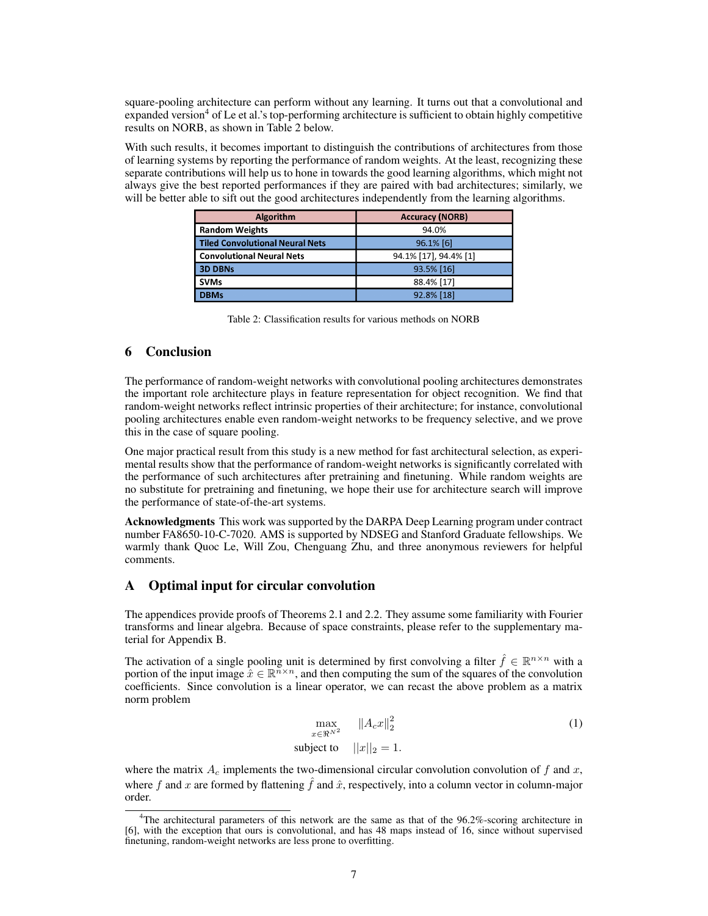square-pooling architecture can perform without any learning. It turns out that a convolutional and expanded version<sup>4</sup> of Le et al.'s top-performing architecture is sufficient to obtain highly competitive results on NORB, as shown in Table 2 below.

With such results, it becomes important to distinguish the contributions of architectures from those of learning systems by reporting the performance of random weights. At the least, recognizing these separate contributions will help us to hone in towards the good learning algorithms, which might not always give the best reported performances if they are paired with bad architectures; similarly, we will be better able to sift out the good architectures independently from the learning algorithms.

| Algorithm                              | <b>Accuracy (NORB)</b> |  |  |
|----------------------------------------|------------------------|--|--|
| <b>Random Weights</b>                  | 94.0%                  |  |  |
| <b>Tiled Convolutional Neural Nets</b> | 96.1% [6]              |  |  |
| <b>Convolutional Neural Nets</b>       | 94.1% [17], 94.4% [1]  |  |  |
| <b>3D DBNs</b>                         | 93.5% [16]             |  |  |
| <b>SVMs</b>                            | 88.4% [17]             |  |  |
| <b>DBMs</b>                            | 92.8% [18]             |  |  |

Table 2: Classification results for various methods on NORB

# 6 Conclusion

The performance of random-weight networks with convolutional pooling architectures demonstrates the important role architecture plays in feature representation for object recognition. We find that random-weight networks reflect intrinsic properties of their architecture; for instance, convolutional pooling architectures enable even random-weight networks to be frequency selective, and we prove this in the case of square pooling.

One major practical result from this study is a new method for fast architectural selection, as experimental results show that the performance of random-weight networks is significantly correlated with the performance of such architectures after pretraining and finetuning. While random weights are no substitute for pretraining and finetuning, we hope their use for architecture search will improve the performance of state-of-the-art systems.

Acknowledgments This work was supported by the DARPA Deep Learning program under contract number FA8650-10-C-7020. AMS is supported by NDSEG and Stanford Graduate fellowships. We warmly thank Quoc Le, Will Zou, Chenguang Zhu, and three anonymous reviewers for helpful comments.

### A Optimal input for circular convolution

The appendices provide proofs of Theorems 2.1 and 2.2. They assume some familiarity with Fourier transforms and linear algebra. Because of space constraints, please refer to the supplementary material for Appendix B.

The activation of a single pooling unit is determined by first convolving a filter  $\hat{f} \in \mathbb{R}^{n \times n}$  with a portion of the input image  $\hat{x} \in \mathbb{R}^{n \times n}$ , and then computing the sum of the squares of the convolution coefficients. Since convolution is a linear operator, we can recast the above problem as a matrix norm problem

$$
\max_{x \in \mathbb{R}^{N^2}} \|A_c x\|_2^2
$$
\n
$$
\text{subject to} \quad \|x\|_2 = 1.
$$
\n
$$
(1)
$$

where the matrix  $A_c$  implements the two-dimensional circular convolution convolution of f and x, where f and x are formed by flattening  $\hat{f}$  and  $\hat{x}$ , respectively, into a column vector in column-major order.

<sup>4</sup>The architectural parameters of this network are the same as that of the 96.2%-scoring architecture in [6], with the exception that ours is convolutional, and has 48 maps instead of 16, since without supervised finetuning, random-weight networks are less prone to overfitting.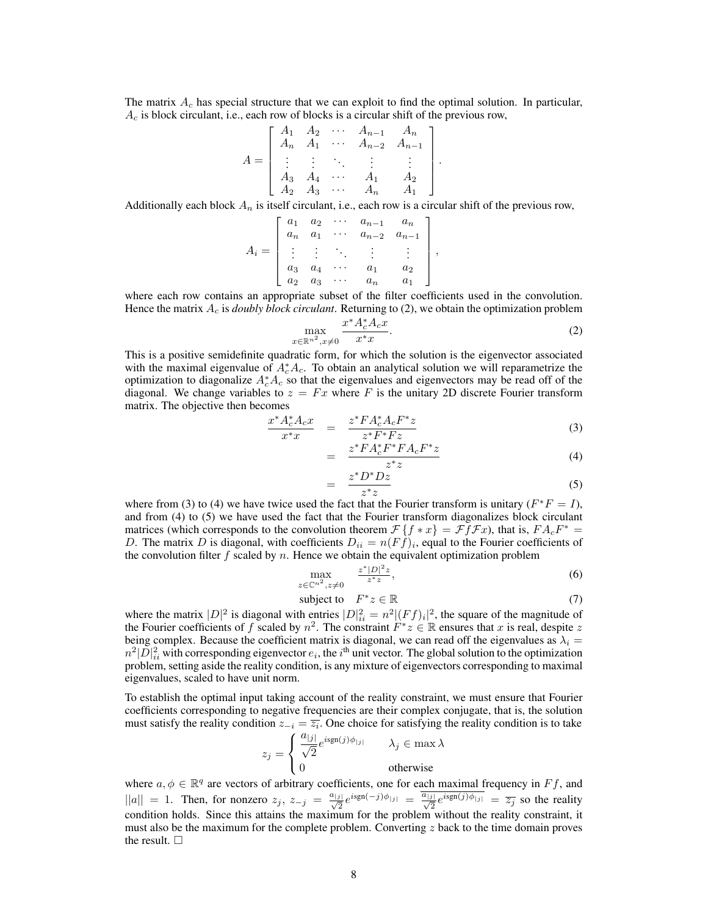The matrix  $A_c$  has special structure that we can exploit to find the optimal solution. In particular,  $A_c$  is block circulant, i.e., each row of blocks is a circular shift of the previous row,

$$
A = \begin{bmatrix} A_1 & A_2 & \cdots & A_{n-1} & A_n \\ A_n & A_1 & \cdots & A_{n-2} & A_{n-1} \\ \vdots & \vdots & \ddots & \vdots & \vdots \\ A_3 & A_4 & \cdots & A_1 & A_2 \\ A_2 & A_3 & \cdots & A_n & A_1 \end{bmatrix}
$$

Additionally each block  $A_n$  is itself circulant, i.e., each row is a circular shift of the previous row,

$$
A_i = \begin{bmatrix} a_1 & a_2 & \cdots & a_{n-1} & a_n \\ a_n & a_1 & \cdots & a_{n-2} & a_{n-1} \\ \vdots & \vdots & \ddots & \vdots & \vdots \\ a_3 & a_4 & \cdots & a_1 & a_2 \\ a_2 & a_3 & \cdots & a_n & a_1 \end{bmatrix}
$$

where each row contains an appropriate subset of the filter coefficients used in the convolution. Hence the matrix  $A_c$  is *doubly block circulant*. Returning to (2), we obtain the optimization problem

$$
\max_{x \in \mathbb{R}^{n^2}, x \neq 0} \frac{x^* A_c^* A_c x}{x^* x}.
$$
 (2)

,

.

This is a positive semidefinite quadratic form, for which the solution is the eigenvector associated with the maximal eigenvalue of  $A_c^* A_c$ . To obtain an analytical solution we will reparametrize the optimization to diagonalize  $A_c^*A_c$  so that the eigenvalues and eigenvectors may be read off of the diagonal. We change variables to  $z = Fx$  where F is the unitary 2D discrete Fourier transform matrix. The objective then becomes

$$
\frac{x^* A_c^* A_c x}{x^* x} = \frac{z^* F A_c^* A_c F^* z}{z^* F^* F z}
$$
\n(3)

$$
= \frac{z^* F A_c^* F^* F A_c F^* z}{z^* z} \tag{4}
$$

$$
= \frac{z^* D^* D z}{z^* z} \tag{5}
$$

where from (3) to (4) we have twice used the fact that the Fourier transform is unitary ( $F^*F = I$ ), and from (4) to (5) we have used the fact that the Fourier transform diagonalizes block circulant matrices (which corresponds to the convolution theorem  $\mathcal{F}\{f * x\} = \mathcal{F} \tilde{f} \mathcal{F} x$ ), that is,  $FA_cF^* =$ D. The matrix D is diagonal, with coefficients  $D_{ii} = n(Ff)_i$ , equal to the Fourier coefficients of the convolution filter  $f$  scaled by  $n$ . Hence we obtain the equivalent optimization problem

$$
\max_{z \in \mathbb{C}^{n^2}, z \neq 0} \quad \frac{z^* |D|^2 z}{z^* z},\tag{6}
$$

$$
subject to \tF^*z \in \mathbb{R} \t(7)
$$

where the matrix  $|D|^2$  is diagonal with entries  $|D|^2_{ii} = n^2 |(Ff)_i|^2$ , the square of the magnitude of the Fourier coefficients of f scaled by  $n^2$ . The constraint  $F^*z \in \mathbb{R}$  ensures that x is real, despite z being complex. Because the coefficient matrix is diagonal, we can read off the eigenvalues as  $\lambda_i =$  $n^2|\bar{D}|^2_{ii}$  with corresponding eigenvector  $e_i$ , the i<sup>th</sup> unit vector. The global solution to the optimization problem, setting aside the reality condition, is any mixture of eigenvectors corresponding to maximal eigenvalues, scaled to have unit norm.

To establish the optimal input taking account of the reality constraint, we must ensure that Fourier coefficients corresponding to negative frequencies are their complex conjugate, that is, the solution must satisfy the reality condition  $z_{-i} = \overline{z_i}$ . One choice for satisfying the reality condition is to take

$$
z_j = \begin{cases} \frac{a_{|j|}}{\sqrt{2}} e^{i \text{sgn}(j)\phi_{|j|}} & \lambda_j \in \max \lambda \\ 0 & \text{otherwise} \end{cases}
$$

where  $a, \phi \in \mathbb{R}^q$  are vectors of arbitrary coefficients, one for each maximal frequency in  $Ff$ , and  $||a|| = 1$ . Then, for nonzero  $z_j$ ,  $z_{-j} = \frac{a_{|j|}}{\sqrt{2}} e^{i \text{sgn}(-j)\phi_{|j|}} = \frac{\overline{a_{|j|}}}{\sqrt{2}} e^{i \text{sgn}(j)\phi_{|j|}} = \overline{z_j}$  so the reality condition holds. Since this attains the maximum for the problem without the reality constraint, it must also be the maximum for the complete problem. Converting  $z$  back to the time domain proves the result.  $\square$